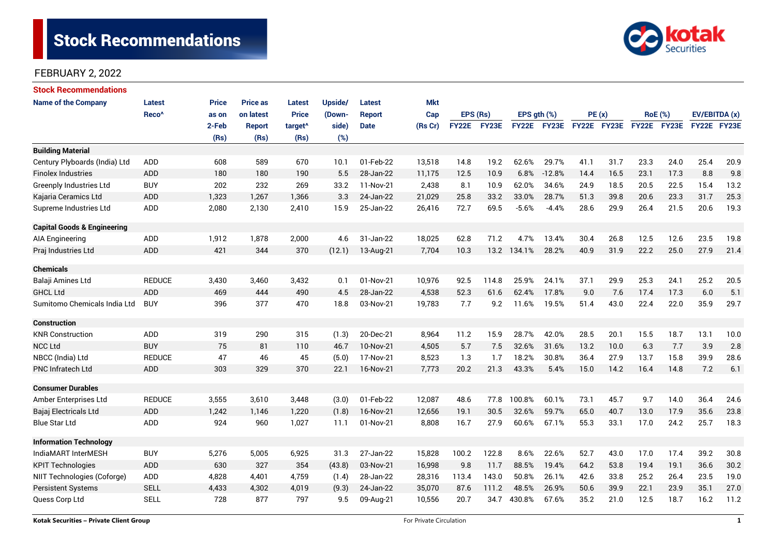

| <b>Stock Recommendations</b>           |                   |              |                 |                     |         |               |            |              |              |             |             |             |       |                |      |               |      |
|----------------------------------------|-------------------|--------------|-----------------|---------------------|---------|---------------|------------|--------------|--------------|-------------|-------------|-------------|-------|----------------|------|---------------|------|
| <b>Name of the Company</b>             | <b>Latest</b>     | <b>Price</b> | <b>Price as</b> | Latest              | Upside/ | Latest        | <b>Mkt</b> |              |              |             |             |             |       |                |      |               |      |
|                                        | Reco <sup>^</sup> | as on        | on latest       | <b>Price</b>        | (Down-  | <b>Report</b> | Cap        | EPS (Rs)     |              | EPS gth (%) |             |             | PE(x) | <b>RoE</b> (%) |      | EV/EBITDA (x) |      |
|                                        |                   | 2-Feb        | <b>Report</b>   | target <sup>^</sup> | side)   | <b>Date</b>   | (Rs Cr)    | <b>FY22E</b> | <b>FY23E</b> |             | FY22E FY23E | FY22E FY23E |       | FY22E FY23E    |      | FY22E FY23E   |      |
|                                        |                   | (Rs)         | (Rs)            | (Rs)                | (%)     |               |            |              |              |             |             |             |       |                |      |               |      |
| <b>Building Material</b>               |                   |              |                 |                     |         |               |            |              |              |             |             |             |       |                |      |               |      |
| Century Plyboards (India) Ltd          | ADD               | 608          | 589             | 670                 | 10.1    | 01-Feb-22     | 13,518     | 14.8         | 19.2         | 62.6%       | 29.7%       | 41.1        | 31.7  | 23.3           | 24.0 | 25.4          | 20.9 |
| <b>Finolex Industries</b>              | <b>ADD</b>        | 180          | 180             | 190                 | 5.5     | 28-Jan-22     | 11,175     | 12.5         | 10.9         | 6.8%        | $-12.8%$    | 14.4        | 16.5  | 23.1           | 17.3 | 8.8           | 9.8  |
| Greenply Industries Ltd                | <b>BUY</b>        | 202          | 232             | 269                 | 33.2    | 11-Nov-21     | 2,438      | 8.1          | 10.9         | 62.0%       | 34.6%       | 24.9        | 18.5  | 20.5           | 22.5 | 15.4          | 13.2 |
| Kajaria Ceramics Ltd                   | <b>ADD</b>        | 1,323        | 1,267           | 1,366               | 3.3     | 24-Jan-22     | 21,029     | 25.8         | 33.2         | 33.0%       | 28.7%       | 51.3        | 39.8  | 20.6           | 23.3 | 31.7          | 25.3 |
| Supreme Industries Ltd                 | ADD               | 2,080        | 2,130           | 2,410               | 15.9    | 25-Jan-22     | 26,416     | 72.7         | 69.5         | $-5.6%$     | $-4.4%$     | 28.6        | 29.9  | 26.4           | 21.5 | 20.6          | 19.3 |
| <b>Capital Goods &amp; Engineering</b> |                   |              |                 |                     |         |               |            |              |              |             |             |             |       |                |      |               |      |
| <b>AIA Engineering</b>                 | ADD               | 1,912        | 1,878           | 2,000               | 4.6     | 31-Jan-22     | 18,025     | 62.8         | 71.2         | 4.7%        | 13.4%       | 30.4        | 26.8  | 12.5           | 12.6 | 23.5          | 19.8 |
| Praj Industries Ltd                    | <b>ADD</b>        | 421          | 344             | 370                 | (12.1)  | 13-Aug-21     | 7.704      | 10.3         |              | 13.2 134.1% | 28.2%       | 40.9        | 31.9  | 22.2           | 25.0 | 27.9          | 21.4 |
| <b>Chemicals</b>                       |                   |              |                 |                     |         |               |            |              |              |             |             |             |       |                |      |               |      |
| Balaji Amines Ltd                      | <b>REDUCE</b>     | 3,430        | 3,460           | 3,432               | 0.1     | 01-Nov-21     | 10,976     | 92.5         | 114.8        | 25.9%       | 24.1%       | 37.1        | 29.9  | 25.3           | 24.1 | 25.2          | 20.5 |
| <b>GHCL Ltd</b>                        | ADD               | 469          | 444             | 490                 | 4.5     | 28-Jan-22     | 4,538      | 52.3         | 61.6         | 62.4%       | 17.8%       | 9.0         | 7.6   | 17.4           | 17.3 | 6.0           | 5.1  |
| Sumitomo Chemicals India Ltd           | <b>BUY</b>        | 396          | 377             | 470                 | 18.8    | 03-Nov-21     | 19,783     | 7.7          | 9.2          | 11.6%       | 19.5%       | 51.4        | 43.0  | 22.4           | 22.0 | 35.9          | 29.7 |
| <b>Construction</b>                    |                   |              |                 |                     |         |               |            |              |              |             |             |             |       |                |      |               |      |
| <b>KNR Construction</b>                | ADD               | 319          | 290             | 315                 | (1.3)   | 20-Dec-21     | 8,964      | 11.2         | 15.9         | 28.7%       | 42.0%       | 28.5        | 20.1  | 15.5           | 18.7 | 13.1          | 10.0 |
| <b>NCC Ltd</b>                         | <b>BUY</b>        | 75           | 81              | 110                 | 46.7    | 10-Nov-21     | 4,505      | 5.7          | 7.5          | 32.6%       | 31.6%       | 13.2        | 10.0  | 6.3            | 7.7  | 3.9           | 2.8  |
| NBCC (India) Ltd                       | <b>REDUCE</b>     | 47           | 46              | 45                  | (5.0)   | 17-Nov-21     | 8,523      | 1.3          | 1.7          | 18.2%       | 30.8%       | 36.4        | 27.9  | 13.7           | 15.8 | 39.9          | 28.6 |
| <b>PNC Infratech Ltd</b>               | ADD               | 303          | 329             | 370                 | 22.1    | 16-Nov-21     | 7,773      | 20.2         | 21.3         | 43.3%       | 5.4%        | 15.0        | 14.2  | 16.4           | 14.8 | 7.2           | 6.1  |
| <b>Consumer Durables</b>               |                   |              |                 |                     |         |               |            |              |              |             |             |             |       |                |      |               |      |
| Amber Enterprises Ltd                  | <b>REDUCE</b>     | 3,555        | 3,610           | 3,448               | (3.0)   | 01-Feb-22     | 12,087     | 48.6         | 77.8         | 100.8%      | 60.1%       | 73.1        | 45.7  | 9.7            | 14.0 | 36.4          | 24.6 |
| Bajaj Electricals Ltd                  | <b>ADD</b>        | 1,242        | 1,146           | 1,220               | (1.8)   | 16-Nov-21     | 12,656     | 19.1         | 30.5         | 32.6%       | 59.7%       | 65.0        | 40.7  | 13.0           | 17.9 | 35.6          | 23.8 |
| <b>Blue Star Ltd</b>                   | ADD               | 924          | 960             | 1,027               | 11.1    | 01-Nov-21     | 8,808      | 16.7         | 27.9         | 60.6%       | 67.1%       | 55.3        | 33.1  | 17.0           | 24.2 | 25.7          | 18.3 |
| <b>Information Technology</b>          |                   |              |                 |                     |         |               |            |              |              |             |             |             |       |                |      |               |      |
| IndiaMART InterMESH                    | <b>BUY</b>        | 5,276        | 5,005           | 6,925               | 31.3    | 27-Jan-22     | 15,828     | 100.2        | 122.8        | 8.6%        | 22.6%       | 52.7        | 43.0  | 17.0           | 17.4 | 39.2          | 30.8 |
| <b>KPIT Technologies</b>               | ADD               | 630          | 327             | 354                 | (43.8)  | 03-Nov-21     | 16,998     | 9.8          | 11.7         | 88.5%       | 19.4%       | 64.2        | 53.8  | 19.4           | 19.1 | 36.6          | 30.2 |
| NIIT Technologies (Coforge)            | ADD               | 4,828        | 4,401           | 4,759               | (1.4)   | 28-Jan-22     | 28,316     | 113.4        | 143.0        | 50.8%       | 26.1%       | 42.6        | 33.8  | 25.2           | 26.4 | 23.5          | 19.0 |
| <b>Persistent Systems</b>              | <b>SELL</b>       | 4,433        | 4,302           | 4,019               | (9.3)   | 24-Jan-22     | 35,070     | 87.6         | 111.2        | 48.5%       | 26.9%       | 50.6        | 39.9  | 22.1           | 23.9 | 35.1          | 27.0 |
| Quess Corp Ltd                         | <b>SELL</b>       | 728          | 877             | 797                 | 9.5     | 09-Aug-21     | 10,556     | 20.7         | 34.7         | 430.8%      | 67.6%       | 35.2        | 21.0  | 12.5           | 18.7 | 16.2          | 11.2 |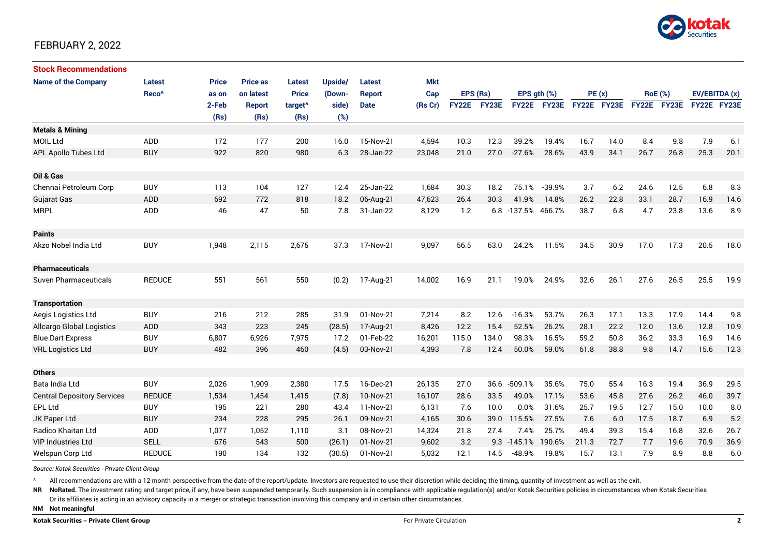

| <b>Stock Recommendations</b>       |                   |              |                 |                     |         |               |            |              |       |                |                  |             |      |      |                |               |      |
|------------------------------------|-------------------|--------------|-----------------|---------------------|---------|---------------|------------|--------------|-------|----------------|------------------|-------------|------|------|----------------|---------------|------|
| <b>Name of the Company</b>         | <b>Latest</b>     | <b>Price</b> | <b>Price as</b> | <b>Latest</b>       | Upside/ | Latest        | <b>Mkt</b> |              |       |                |                  |             |      |      |                |               |      |
|                                    | Reco <sup>^</sup> | as on        | on latest       | <b>Price</b>        | (Down-  | <b>Report</b> | Cap        | EPS (Rs)     |       |                | EPS $qth$ $(\%)$ | PE(x)       |      |      | <b>RoE</b> (%) | EV/EBITDA (x) |      |
|                                    |                   | 2-Feb        | <b>Report</b>   | target <sup>^</sup> | side)   | <b>Date</b>   | (Rs Cr)    | <b>FY22E</b> | FY23E | <b>FY22E</b>   | FY23E            | FY22E FY23E |      |      | FY22E FY23E    | FY22E FY23E   |      |
|                                    |                   | (Rs)         | (Rs)            | (Rs)                | (%)     |               |            |              |       |                |                  |             |      |      |                |               |      |
| <b>Metals &amp; Mining</b>         |                   |              |                 |                     |         |               |            |              |       |                |                  |             |      |      |                |               |      |
| <b>MOIL Ltd</b>                    | ADD               | 172          | 177             | 200                 | 16.0    | 15-Nov-21     | 4,594      | 10.3         | 12.3  | 39.2%          | 19.4%            | 16.7        | 14.0 | 8.4  | 9.8            | 7.9           | 6.1  |
| <b>APL Apollo Tubes Ltd</b>        | <b>BUY</b>        | 922          | 820             | 980                 | 6.3     | 28-Jan-22     | 23,048     | 21.0         | 27.0  | $-27.6%$       | 28.6%            | 43.9        | 34.1 | 26.7 | 26.8           | 25.3          | 20.1 |
|                                    |                   |              |                 |                     |         |               |            |              |       |                |                  |             |      |      |                |               |      |
| Oil & Gas                          |                   |              |                 |                     |         |               |            |              |       |                |                  |             |      |      |                |               |      |
| Chennai Petroleum Corp             | <b>BUY</b>        | 113          | 104             | 127                 | 12.4    | 25-Jan-22     | 1,684      | 30.3         | 18.2  | 75.1%          | $-39.9%$         | 3.7         | 6.2  | 24.6 | 12.5           | 6.8           | 8.3  |
| <b>Gujarat Gas</b>                 | ADD               | 692          | 772             | 818                 | 18.2    | 06-Aug-21     | 47,623     | 26.4         | 30.3  | 41.9%          | 14.8%            | 26.2        | 22.8 | 33.1 | 28.7           | 16.9          | 14.6 |
| <b>MRPL</b>                        | ADD               | 46           | 47              | 50                  | 7.8     | 31-Jan-22     | 8,129      | 1.2          | 6.8   | $-137.5%$      | 466.7%           | 38.7        | 6.8  | 4.7  | 23.8           | 13.6          | 8.9  |
|                                    |                   |              |                 |                     |         |               |            |              |       |                |                  |             |      |      |                |               |      |
| <b>Paints</b>                      |                   |              |                 |                     |         |               |            |              |       |                |                  |             |      |      |                |               |      |
| Akzo Nobel India Ltd               | <b>BUY</b>        | 1,948        | 2,115           | 2,675               | 37.3    | 17-Nov-21     | 9,097      | 56.5         | 63.0  | 24.2%          | 11.5%            | 34.5        | 30.9 | 17.0 | 17.3           | 20.5          | 18.0 |
|                                    |                   |              |                 |                     |         |               |            |              |       |                |                  |             |      |      |                |               |      |
| <b>Pharmaceuticals</b>             |                   |              |                 |                     |         |               |            |              |       |                |                  |             |      |      |                |               |      |
| Suven Pharmaceuticals              | <b>REDUCE</b>     | 551          | 561             | 550                 | (0.2)   | 17-Aug-21     | 14,002     | 16.9         | 21.1  | 19.0%          | 24.9%            | 32.6        | 26.1 | 27.6 | 26.5           | 25.5          | 19.9 |
|                                    |                   |              |                 |                     |         |               |            |              |       |                |                  |             |      |      |                |               |      |
| <b>Transportation</b>              |                   |              |                 |                     |         |               |            |              |       |                |                  |             |      |      |                |               |      |
| Aegis Logistics Ltd                | <b>BUY</b>        | 216          | 212             | 285                 | 31.9    | 01-Nov-21     | 7,214      | 8.2          | 12.6  | $-16.3%$       | 53.7%            | 26.3        | 17.1 | 13.3 | 17.9           | 14.4          | 9.8  |
| <b>Allcargo Global Logistics</b>   | ADD               | 343          | 223             | 245                 | (28.5)  | 17-Aug-21     | 8,426      | 12.2         | 15.4  | 52.5%          | 26.2%            | 28.1        | 22.2 | 12.0 | 13.6           | 12.8          | 10.9 |
| <b>Blue Dart Express</b>           | <b>BUY</b>        | 6,807        | 6,926           | 7,975               | 17.2    | 01-Feb-22     | 16,201     | 115.0        | 134.0 | 98.3%          | 16.5%            | 59.2        | 50.8 | 36.2 | 33.3           | 16.9          | 14.6 |
| <b>VRL Logistics Ltd</b>           | <b>BUY</b>        | 482          | 396             | 460                 | (4.5)   | 03-Nov-21     | 4,393      | 7.8          | 12.4  | 50.0%          | 59.0%            | 61.8        | 38.8 | 9.8  | 14.7           | 15.6          | 12.3 |
|                                    |                   |              |                 |                     |         |               |            |              |       |                |                  |             |      |      |                |               |      |
| <b>Others</b>                      |                   |              |                 |                     |         |               |            |              |       |                |                  |             |      |      |                |               |      |
| Bata India Ltd                     | <b>BUY</b>        | 2,026        | 1,909           | 2,380               | 17.5    | 16-Dec-21     | 26,135     | 27.0         | 36.6  | $-509.1%$      | 35.6%            | 75.0        | 55.4 | 16.3 | 19.4           | 36.9          | 29.5 |
| <b>Central Depository Services</b> | <b>REDUCE</b>     | 1,534        | 1.454           | 1.415               | (7.8)   | 10-Nov-21     | 16,107     | 28.6         | 33.5  | 49.0%          | 17.1%            | 53.6        | 45.8 | 27.6 | 26.2           | 46.0          | 39.7 |
| <b>EPL Ltd</b>                     | <b>BUY</b>        | 195          | 221             | 280                 | 43.4    | 11-Nov-21     | 6,131      | 7.6          | 10.0  | 0.0%           | 31.6%            | 25.7        | 19.5 | 12.7 | 15.0           | 10.0          | 8.0  |
| JK Paper Ltd                       | <b>BUY</b>        | 234          | 228             | 295                 | 26.1    | 09-Nov-21     | 4,165      | 30.6         | 39.0  | 115.5%         | 27.5%            | 7.6         | 6.0  | 17.5 | 18.7           | 6.9           | 5.2  |
| Radico Khaitan Ltd                 | ADD               | 1,077        | 1,052           | 1,110               | 3.1     | 08-Nov-21     | 14,324     | 21.8         | 27.4  | 7.4%           | 25.7%            | 49.4        | 39.3 | 15.4 | 16.8           | 32.6          | 26.7 |
| <b>VIP Industries Ltd</b>          | <b>SELL</b>       | 676          | 543             | 500                 | (26.1)  | 01-Nov-21     | 9,602      | 3.2          |       | $9.3 - 145.1%$ | 190.6%           | 211.3       | 72.7 | 7.7  | 19.6           | 70.9          | 36.9 |
| Welspun Corp Ltd                   | <b>REDUCE</b>     | 190          | 134             | 132                 | (30.5)  | 01-Nov-21     | 5,032      | 12.1         | 14.5  | $-48.9%$       | 19.8%            | 15.7        | 13.1 | 7.9  | 8.9            | 8.8           | 6.0  |

*Source: Kotak Securities - Private Client Group*

All recommendations are with a 12 month perspective from the date of the report/update. Investors are requested to use their discretion while deciding the timing, quantity of investment as well as the exit.

NR NoRated. The investment rating and target price, if any, have been suspended temporarily. Such suspension is in compliance with applicable regulation(s) and/or Kotak Securities policies in circumstances when Kotak Secur

Or its affiliates is acting in an advisory capacity in a merger or strategic transaction involving this company and in certain other circumstances.

**NM Not meaningful**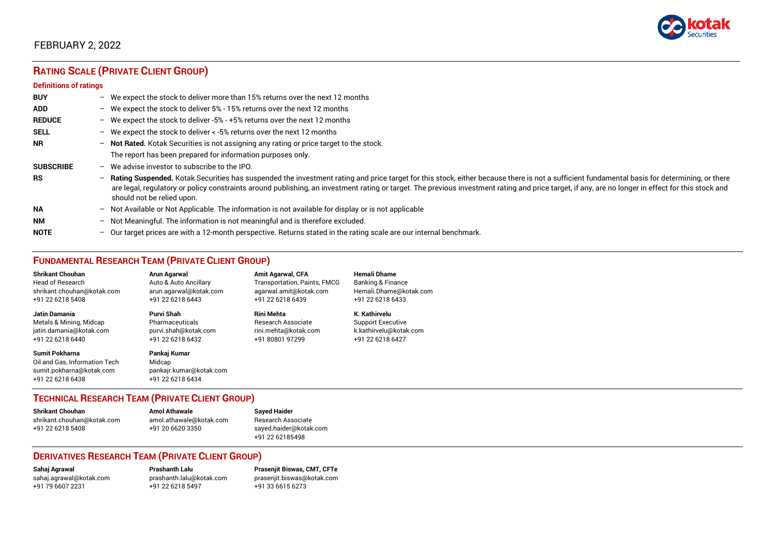

# **RATING SCALE (PRIVATE CLIENT GROUP)**

#### **Definitions of ratings**

| <b>BUY</b>       | - We expect the stock to deliver more than 15% returns over the next 12 months                                                                                                                                                                                                                                                                                                                                                     |
|------------------|------------------------------------------------------------------------------------------------------------------------------------------------------------------------------------------------------------------------------------------------------------------------------------------------------------------------------------------------------------------------------------------------------------------------------------|
| <b>ADD</b>       | - We expect the stock to deliver 5% - 15% returns over the next 12 months                                                                                                                                                                                                                                                                                                                                                          |
| <b>REDUCE</b>    | - We expect the stock to deliver -5% - +5% returns over the next 12 months                                                                                                                                                                                                                                                                                                                                                         |
| <b>SELL</b>      | - We expect the stock to deliver $\lt$ -5% returns over the next 12 months                                                                                                                                                                                                                                                                                                                                                         |
| <b>NR</b>        | - Not Rated. Kotak Securities is not assigning any rating or price target to the stock.                                                                                                                                                                                                                                                                                                                                            |
|                  | The report has been prepared for information purposes only.                                                                                                                                                                                                                                                                                                                                                                        |
| <b>SUBSCRIBE</b> | $-$ We advise investor to subscribe to the IPO.                                                                                                                                                                                                                                                                                                                                                                                    |
| <b>RS</b>        | - Rating Suspended. Kotak Securities has suspended the investment rating and price target for this stock, either because there is not a sufficient fundamental basis for determining, or there<br>are legal, regulatory or policy constraints around publishing, an investment rating or target. The previous investment rating and price target, if any, are no longer in effect for this stock and<br>should not be relied upon. |
| <b>NA</b>        | $-$ Not Available or Not Applicable. The information is not available for display or is not applicable                                                                                                                                                                                                                                                                                                                             |
| <b>NM</b>        | - Not Meaningful. The information is not meaningful and is therefore excluded.                                                                                                                                                                                                                                                                                                                                                     |
| <b>NOTE</b>      | - Our target prices are with a 12-month perspective. Returns stated in the rating scale are our internal benchmark.                                                                                                                                                                                                                                                                                                                |

### **FUNDAMENTAL RESEARCH TEAM (PRIVATE CLIENT GROUP)**

| <b>Shrikant Chouhan</b>                                                                                | <b>Arun Agarwal</b>                                                   | <b>Amit Agarwal, CFA</b>            | <b>Hemali Dhame</b>      |
|--------------------------------------------------------------------------------------------------------|-----------------------------------------------------------------------|-------------------------------------|--------------------------|
| <b>Head of Research</b>                                                                                | Auto & Auto Ancillary                                                 | <b>Transportation, Paints, FMCG</b> | Banking & Finance        |
| shrikant.chouhan@kotak.com                                                                             | arun.agarwal@kotak.com                                                | agarwal.amit@kotak.com              | Hemali.Dhame@kotak.com   |
| +91 22 6218 5408                                                                                       | +91 22 6218 6443                                                      | +91 22 6218 6439                    | +91 22 6218 6433         |
| Jatin Damania                                                                                          | Purvi Shah                                                            | <b>Rini Mehta</b>                   | K. Kathirvelu            |
| Metals & Mining, Midcap                                                                                | Pharmaceuticals                                                       | <b>Research Associate</b>           | <b>Support Executive</b> |
| jatin.damania@kotak.com                                                                                | purvi.shah@kotak.com                                                  | rini.mehta@kotak.com                | k.kathirvelu@kotak.com   |
| +91 22 6218 6440                                                                                       | +91 22 6218 6432                                                      | +91 80801 97299                     | +91 22 6218 6427         |
| <b>Sumit Pokharna</b><br>Oil and Gas, Information Tech<br>sumit.pokharna@kotak.com<br>+91 22 6218 6438 | Pankaj Kumar<br>Midcap<br>pankajr.kumar@kotak.com<br>+91 22 6218 6434 |                                     |                          |

### **TECHNICAL RESEARCH TEAM (PRIVATE CLIENT GROUP)**

| Shrikant Chouhan           | <b>Amol Athawale</b>    | <b>Sayed Haider</b>    |
|----------------------------|-------------------------|------------------------|
| shrikant.chouhan@kotak.com | amol.athawale@kotak.com | Research Associate     |
| +91 22 6218 5408           | +91 20 6620 3350        | sayed.haider@kotak.com |
|                            |                         | +91 22 62185498        |

#### **DERIVATIVES RESEARCH TEAM (PRIVATE CLIENT GROUP)**

[sahaj.agrawal@kotak.com](mailto:sahaj.agrawal@kotak.com) [prashanth.lalu@kotak.com](mailto:prashanth.lalu@kotak.com) [prasenjit.biswas@kotak.com](mailto:prasenjit.biswas@kotak.com) +91 22 6218 5497 +91 33 6615 6273

**Sahaj Agrawal Prashanth Lalu Prasenjit Biswas, CMT, CFTe**